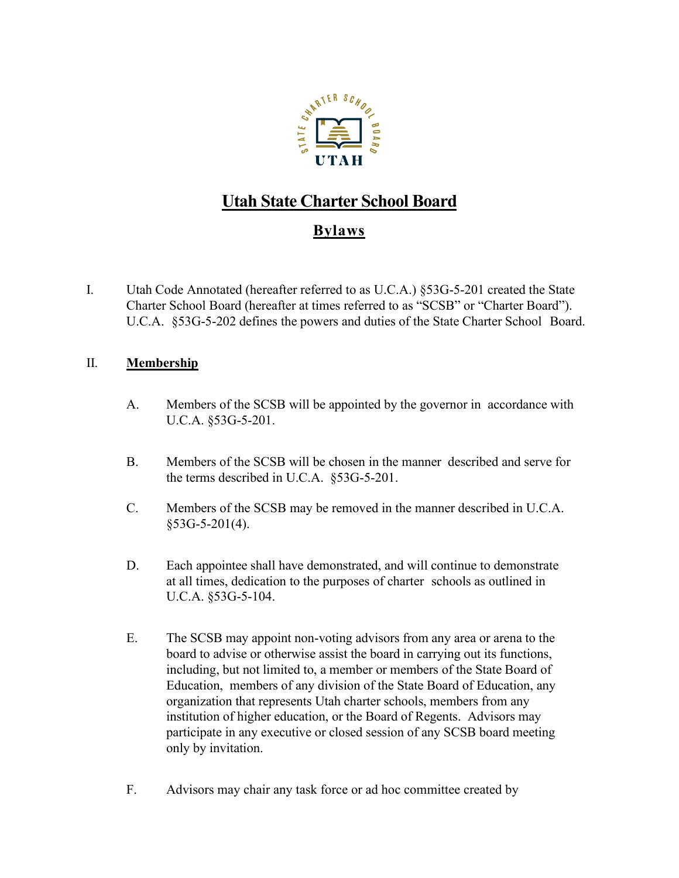

# **Utah State Charter School Board**

## **Bylaws**

I. Utah Code Annotated (hereafter referred to as U.C.A.) §53G-5-201 created the State Charter School Board (hereafter at times referred to as "SCSB" or "Charter Board"). U.C.A. §53G-5-202 defines the powers and duties of the State Charter School Board.

## II. **Membership**

- A. Members of the SCSB will be appointed by the governor in accordance with U.C.A. §53G-5-201.
- B. Members of the SCSB will be chosen in the manner described and serve for the terms described in U.C.A. §53G-5-201.
- C. Members of the SCSB may be removed in the manner described in U.C.A. §53G-5-201(4).
- D. Each appointee shall have demonstrated, and will continue to demonstrate at all times, dedication to the purposes of charter schools as outlined in U.C.A. §53G-5-104.
- E. The SCSB may appoint non-voting advisors from any area or arena to the board to advise or otherwise assist the board in carrying out its functions, including, but not limited to, a member or members of the State Board of Education, members of any division of the State Board of Education, any organization that represents Utah charter schools, members from any institution of higher education, or the Board of Regents. Advisors may participate in any executive or closed session of any SCSB board meeting only by invitation.
- F. Advisors may chair any task force or ad hoc committee created by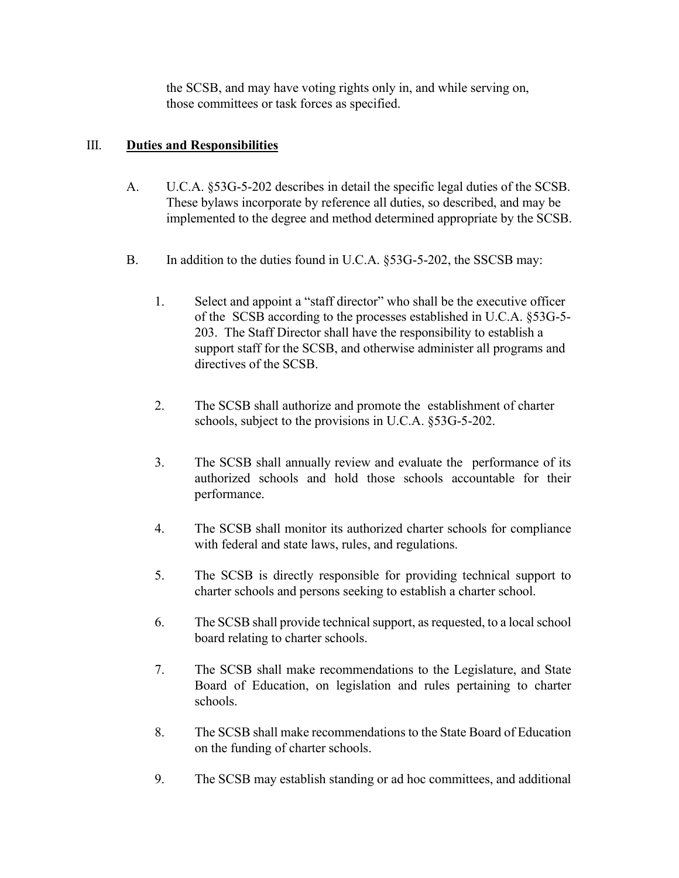the SCSB, and may have voting rights only in, and while serving on, those committees or task forces as specified.

#### III. **Duties and Responsibilities**

- A. U.C.A. §53G-5-202 describes in detail the specific legal duties of the SCSB. These bylaws incorporate by reference all duties, so described, and may be implemented to the degree and method determined appropriate by the SCSB.
- B. In addition to the duties found in U.C.A. §53G-5-202, the SSCSB may:
	- 1. Select and appoint a "staff director" who shall be the executive officer of the SCSB according to the processes established in U.C.A. §53G-5- 203. The Staff Director shall have the responsibility to establish a support staff for the SCSB, and otherwise administer all programs and directives of the SCSB.
	- 2. The SCSB shall authorize and promote the establishment of charter schools, subject to the provisions in U.C.A. §53G-5-202.
	- 3. The SCSB shall annually review and evaluate the performance of its authorized schools and hold those schools accountable for their performance.
	- 4. The SCSB shall monitor its authorized charter schools for compliance with federal and state laws, rules, and regulations.
	- 5. The SCSB is directly responsible for providing technical support to charter schools and persons seeking to establish a charter school.
	- 6. The SCSB shall provide technical support, as requested, to a local school board relating to charter schools.
	- 7. The SCSB shall make recommendations to the Legislature, and State Board of Education, on legislation and rules pertaining to charter schools.
	- 8. The SCSB shall make recommendations to the State Board of Education on the funding of charter schools.
	- 9. The SCSB may establish standing or ad hoc committees, and additional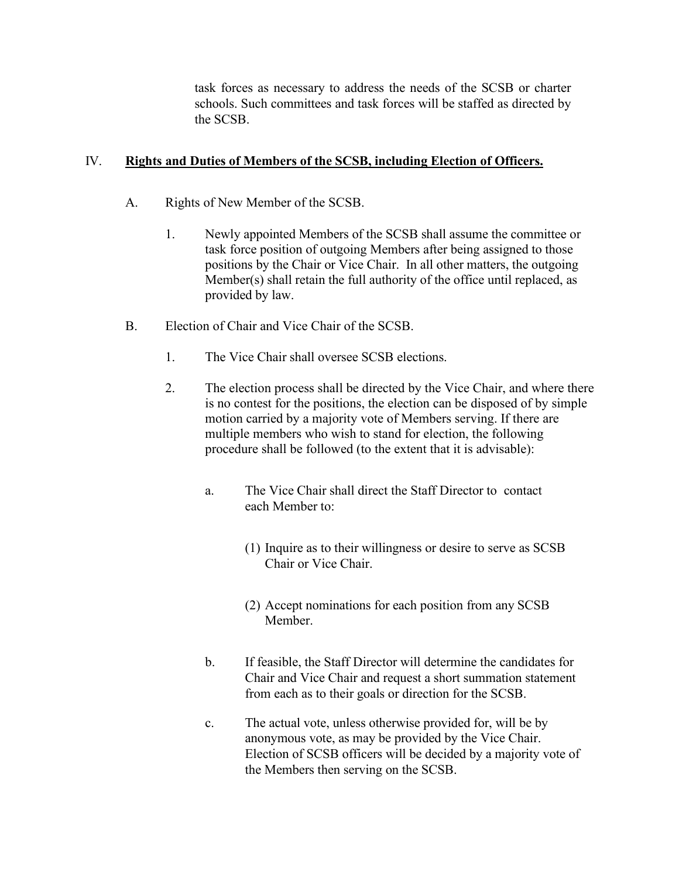task forces as necessary to address the needs of the SCSB or charter schools. Such committees and task forces will be staffed as directed by the SCSB.

#### IV. **Rights and Duties of Members of the SCSB, including Election of Officers.**

- A. Rights of New Member of the SCSB.
	- 1. Newly appointed Members of the SCSB shall assume the committee or task force position of outgoing Members after being assigned to those positions by the Chair or Vice Chair. In all other matters, the outgoing Member(s) shall retain the full authority of the office until replaced, as provided by law.
- B. Election of Chair and Vice Chair of the SCSB.
	- 1. The Vice Chair shall oversee SCSB elections.
	- 2. The election process shall be directed by the Vice Chair, and where there is no contest for the positions, the election can be disposed of by simple motion carried by a majority vote of Members serving. If there are multiple members who wish to stand for election, the following procedure shall be followed (to the extent that it is advisable):
		- a. The Vice Chair shall direct the Staff Director to contact each Member to:
			- (1) Inquire as to their willingness or desire to serve as SCSB Chair or Vice Chair.
			- (2) Accept nominations for each position from any SCSB Member.
		- b. If feasible, the Staff Director will determine the candidates for Chair and Vice Chair and request a short summation statement from each as to their goals or direction for the SCSB.
		- c. The actual vote, unless otherwise provided for, will be by anonymous vote, as may be provided by the Vice Chair. Election of SCSB officers will be decided by a majority vote of the Members then serving on the SCSB.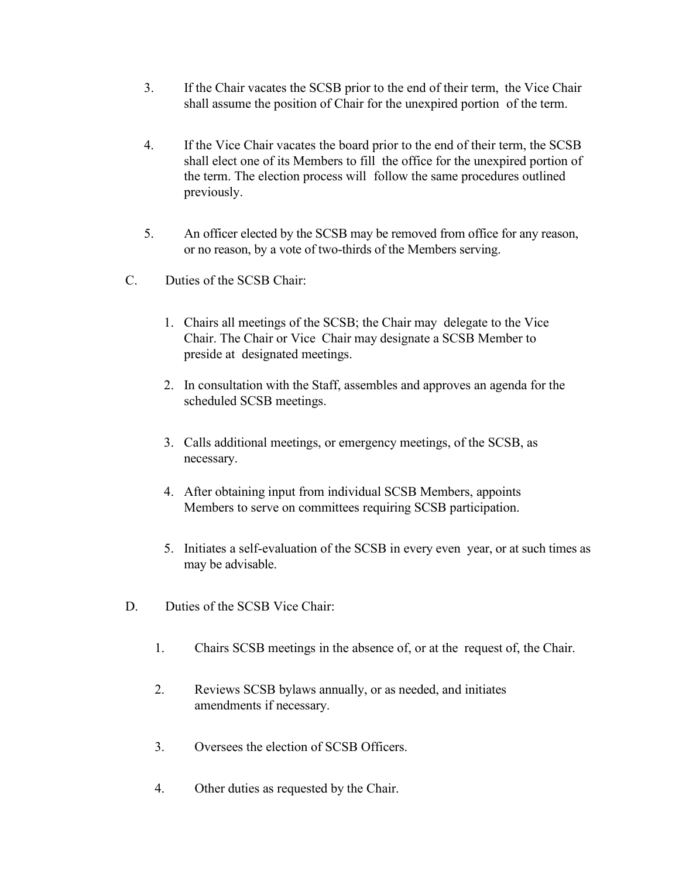- 3. If the Chair vacates the SCSB prior to the end of their term, the Vice Chair shall assume the position of Chair for the unexpired portion of the term.
- 4. If the Vice Chair vacates the board prior to the end of their term, the SCSB shall elect one of its Members to fill the office for the unexpired portion of the term. The election process will follow the same procedures outlined previously.
- 5. An officer elected by the SCSB may be removed from office for any reason, or no reason, by a vote of two-thirds of the Members serving.
- C. Duties of the SCSB Chair:
	- 1. Chairs all meetings of the SCSB; the Chair may delegate to the Vice Chair. The Chair or Vice Chair may designate a SCSB Member to preside at designated meetings.
	- 2. In consultation with the Staff, assembles and approves an agenda for the scheduled SCSB meetings.
	- 3. Calls additional meetings, or emergency meetings, of the SCSB, as necessary.
	- 4. After obtaining input from individual SCSB Members, appoints Members to serve on committees requiring SCSB participation.
	- 5. Initiates a self-evaluation of the SCSB in every even year, or at such times as may be advisable.
- D. Duties of the SCSB Vice Chair:
	- 1. Chairs SCSB meetings in the absence of, or at the request of, the Chair.
	- 2. Reviews SCSB bylaws annually, or as needed, and initiates amendments if necessary.
	- 3. Oversees the election of SCSB Officers.
	- 4. Other duties as requested by the Chair.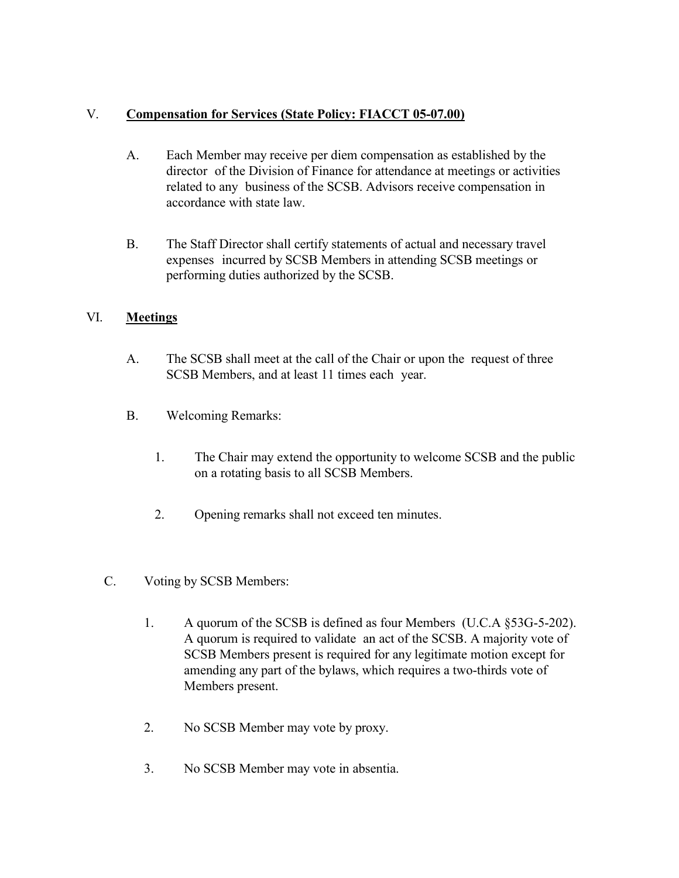## V. **Compensation for Services (State Policy: FIACCT 05-07.00)**

- A. Each Member may receive per diem compensation as established by the director of the Division of Finance for attendance at meetings or activities related to any business of the SCSB. Advisors receive compensation in accordance with state law.
- B. The Staff Director shall certify statements of actual and necessary travel expenses incurred by SCSB Members in attending SCSB meetings or performing duties authorized by the SCSB.

## VI. **Meetings**

- A. The SCSB shall meet at the call of the Chair or upon the request of three SCSB Members, and at least 11 times each year.
- B. Welcoming Remarks:
	- 1. The Chair may extend the opportunity to welcome SCSB and the public on a rotating basis to all SCSB Members.
	- 2. Opening remarks shall not exceed ten minutes.
- C. Voting by SCSB Members:
	- 1. A quorum of the SCSB is defined as four Members (U.C.A §53G-5-202). A quorum is required to validate an act of the SCSB. A majority vote of SCSB Members present is required for any legitimate motion except for amending any part of the bylaws, which requires a two-thirds vote of Members present.
	- 2. No SCSB Member may vote by proxy.
	- 3. No SCSB Member may vote in absentia.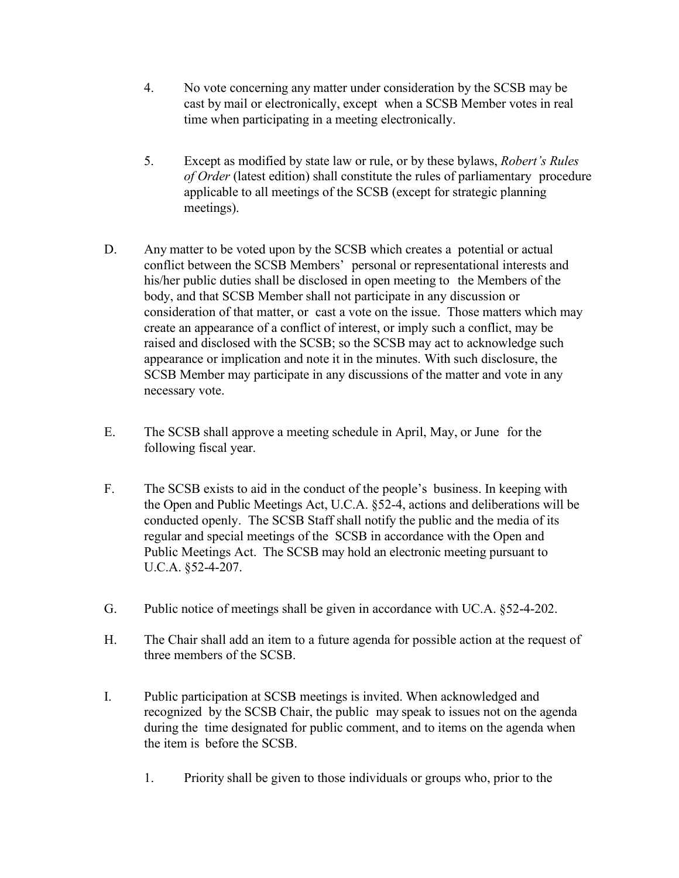- 4. No vote concerning any matter under consideration by the SCSB may be cast by mail or electronically, except when a SCSB Member votes in real time when participating in a meeting electronically.
- 5. Except as modified by state law or rule, or by these bylaws, *Robert's Rules of Order* (latest edition) shall constitute the rules of parliamentary procedure applicable to all meetings of the SCSB (except for strategic planning meetings).
- D. Any matter to be voted upon by the SCSB which creates a potential or actual conflict between the SCSB Members' personal or representational interests and his/her public duties shall be disclosed in open meeting to the Members of the body, and that SCSB Member shall not participate in any discussion or consideration of that matter, or cast a vote on the issue. Those matters which may create an appearance of a conflict of interest, or imply such a conflict, may be raised and disclosed with the SCSB; so the SCSB may act to acknowledge such appearance or implication and note it in the minutes. With such disclosure, the SCSB Member may participate in any discussions of the matter and vote in any necessary vote.
- E. The SCSB shall approve a meeting schedule in April, May, or June for the following fiscal year.
- F. The SCSB exists to aid in the conduct of the people's business. In keeping with the Open and Public Meetings Act, U.C.A. §52-4, actions and deliberations will be conducted openly. The SCSB Staff shall notify the public and the media of its regular and special meetings of the SCSB in accordance with the Open and Public Meetings Act. The SCSB may hold an electronic meeting pursuant to U.C.A. §52-4-207.
- G. Public notice of meetings shall be given in accordance with UC.A. §52-4-202.
- H. The Chair shall add an item to a future agenda for possible action at the request of three members of the SCSB.
- I. Public participation at SCSB meetings is invited. When acknowledged and recognized by the SCSB Chair, the public may speak to issues not on the agenda during the time designated for public comment, and to items on the agenda when the item is before the SCSB.
	- 1. Priority shall be given to those individuals or groups who, prior to the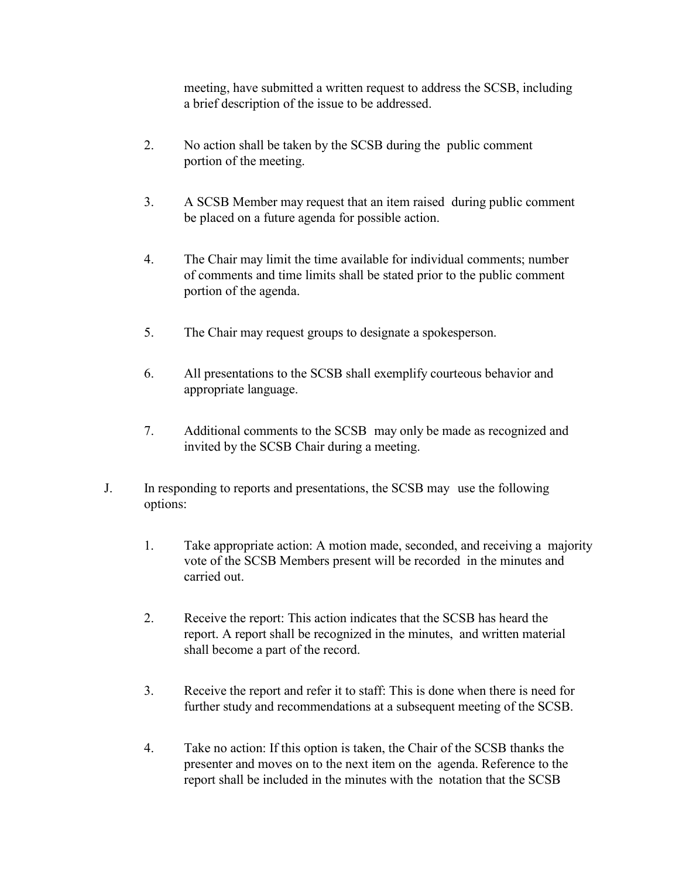meeting, have submitted a written request to address the SCSB, including a brief description of the issue to be addressed.

- 2. No action shall be taken by the SCSB during the public comment portion of the meeting.
- 3. A SCSB Member may request that an item raised during public comment be placed on a future agenda for possible action.
- 4. The Chair may limit the time available for individual comments; number of comments and time limits shall be stated prior to the public comment portion of the agenda.
- 5. The Chair may request groups to designate a spokesperson.
- 6. All presentations to the SCSB shall exemplify courteous behavior and appropriate language.
- 7. Additional comments to the SCSB may only be made as recognized and invited by the SCSB Chair during a meeting.
- J. In responding to reports and presentations, the SCSB may use the following options:
	- 1. Take appropriate action: A motion made, seconded, and receiving a majority vote of the SCSB Members present will be recorded in the minutes and carried out.
	- 2. Receive the report: This action indicates that the SCSB has heard the report. A report shall be recognized in the minutes, and written material shall become a part of the record.
	- 3. Receive the report and refer it to staff: This is done when there is need for further study and recommendations at a subsequent meeting of the SCSB.
	- 4. Take no action: If this option is taken, the Chair of the SCSB thanks the presenter and moves on to the next item on the agenda. Reference to the report shall be included in the minutes with the notation that the SCSB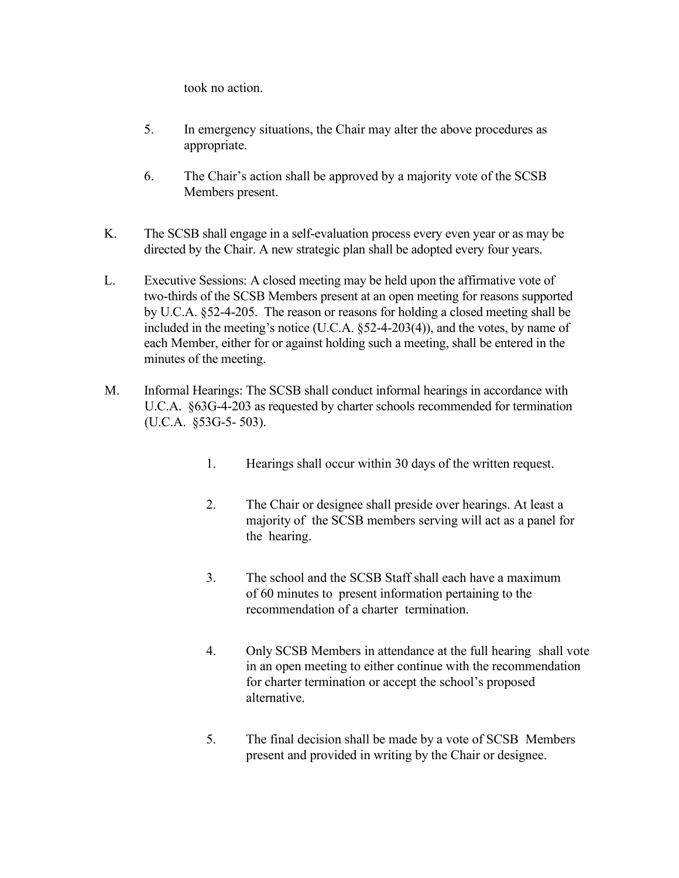took no action.

- 5. In emergency situations, the Chair may alter the above procedures as appropriate.
- 6. The Chair's action shall be approved by a majority vote of the SCSB Members present.
- K. The SCSB shall engage in a self-evaluation process every even year or as may be directed by the Chair. A new strategic plan shall be adopted every four years.
- L. Executive Sessions: A closed meeting may be held upon the affirmative vote of two-thirds of the SCSB Members present at an open meeting for reasons supported by U.C.A. §52-4-205. The reason or reasons for holding a closed meeting shall be included in the meeting's notice (U.C.A. §52-4-203(4)), and the votes, by name of each Member, either for or against holding such a meeting, shall be entered in the minutes of the meeting.
- M. Informal Hearings: The SCSB shall conduct informal hearings in accordance with U.C.A. §63G-4-203 as requested by charter schools recommended for termination (U.C.A. §53G-5- 503).
	- 1. Hearings shall occur within 30 days of the written request.
	- 2. The Chair or designee shall preside over hearings. At least a majority of the SCSB members serving will act as a panel for the hearing.
	- 3. The school and the SCSB Staff shall each have a maximum of 60 minutes to present information pertaining to the recommendation of a charter termination.
	- 4. Only SCSB Members in attendance at the full hearing shall vote in an open meeting to either continue with the recommendation for charter termination or accept the school's proposed alternative.
	- 5. The final decision shall be made by a vote of SCSB Members present and provided in writing by the Chair or designee.